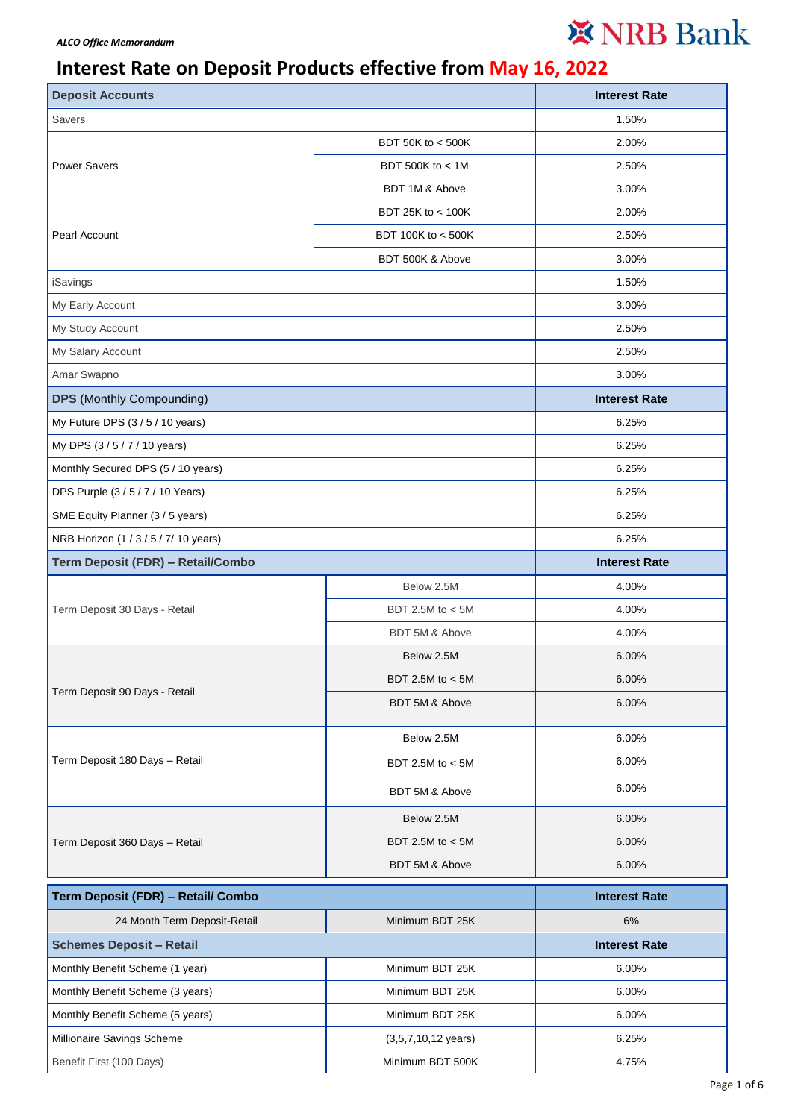## ※ NRB Bank

## **Interest Rate on Deposit Products effective from May 16, 2022**

| <b>Deposit Accounts</b>               |                               | <b>Interest Rate</b> |
|---------------------------------------|-------------------------------|----------------------|
| <b>Savers</b>                         |                               | 1.50%                |
| <b>Power Savers</b>                   | BDT 50K to < 500K             | 2.00%                |
|                                       | BDT 500K to < 1M              | 2.50%                |
|                                       | BDT 1M & Above                | 3.00%                |
|                                       | BDT 25K to < 100K             | 2.00%                |
| Pearl Account                         | BDT 100K to < 500K            | 2.50%                |
|                                       | BDT 500K & Above              | 3.00%                |
| iSavings                              |                               | 1.50%                |
| My Early Account                      |                               | 3.00%                |
| My Study Account                      |                               | 2.50%                |
| My Salary Account                     |                               | 2.50%                |
| Amar Swapno                           |                               | 3.00%                |
| <b>DPS</b> (Monthly Compounding)      |                               | <b>Interest Rate</b> |
| My Future DPS (3/5/10 years)          |                               | 6.25%                |
| My DPS (3/5/7/10 years)               |                               | 6.25%                |
| Monthly Secured DPS (5 / 10 years)    |                               | 6.25%                |
| DPS Purple (3/5/7/10 Years)           |                               | 6.25%                |
| SME Equity Planner (3 / 5 years)      |                               | 6.25%                |
| NRB Horizon (1 / 3 / 5 / 7/ 10 years) |                               | 6.25%                |
| Term Deposit (FDR) - Retail/Combo     |                               | <b>Interest Rate</b> |
|                                       | Below 2.5M                    | 4.00%                |
| Term Deposit 30 Days - Retail         | BDT 2.5M to < 5M              | 4.00%                |
|                                       | BDT 5M & Above                | 4.00%                |
|                                       | Below 2.5M                    | 6.00%                |
|                                       | BDT 2.5M to < 5M              | 6.00%                |
| Term Deposit 90 Days - Retail         | BDT 5M & Above                | 6.00%                |
| Term Deposit 180 Days - Retail        | Below 2.5M                    | 6.00%                |
|                                       | BDT 2.5M to $<$ 5M            | 6.00%                |
|                                       | BDT 5M & Above                | 6.00%                |
|                                       | Below 2.5M                    | 6.00%                |
| Term Deposit 360 Days - Retail        | BDT 2.5M to < 5M              | 6.00%                |
|                                       | BDT 5M & Above                | 6.00%                |
| Term Deposit (FDR) - Retail/ Combo    |                               | <b>Interest Rate</b> |
| 24 Month Term Deposit-Retail          | Minimum BDT 25K               | 6%                   |
| <b>Schemes Deposit - Retail</b>       |                               | <b>Interest Rate</b> |
| Monthly Benefit Scheme (1 year)       | Minimum BDT 25K               | 6.00%                |
| Monthly Benefit Scheme (3 years)      | Minimum BDT 25K               | 6.00%                |
| Monthly Benefit Scheme (5 years)      | Minimum BDT 25K               | 6.00%                |
| Millionaire Savings Scheme            | $(3,5,7,10,12 \text{ years})$ | 6.25%                |
| Benefit First (100 Days)              | Minimum BDT 500K              | 4.75%                |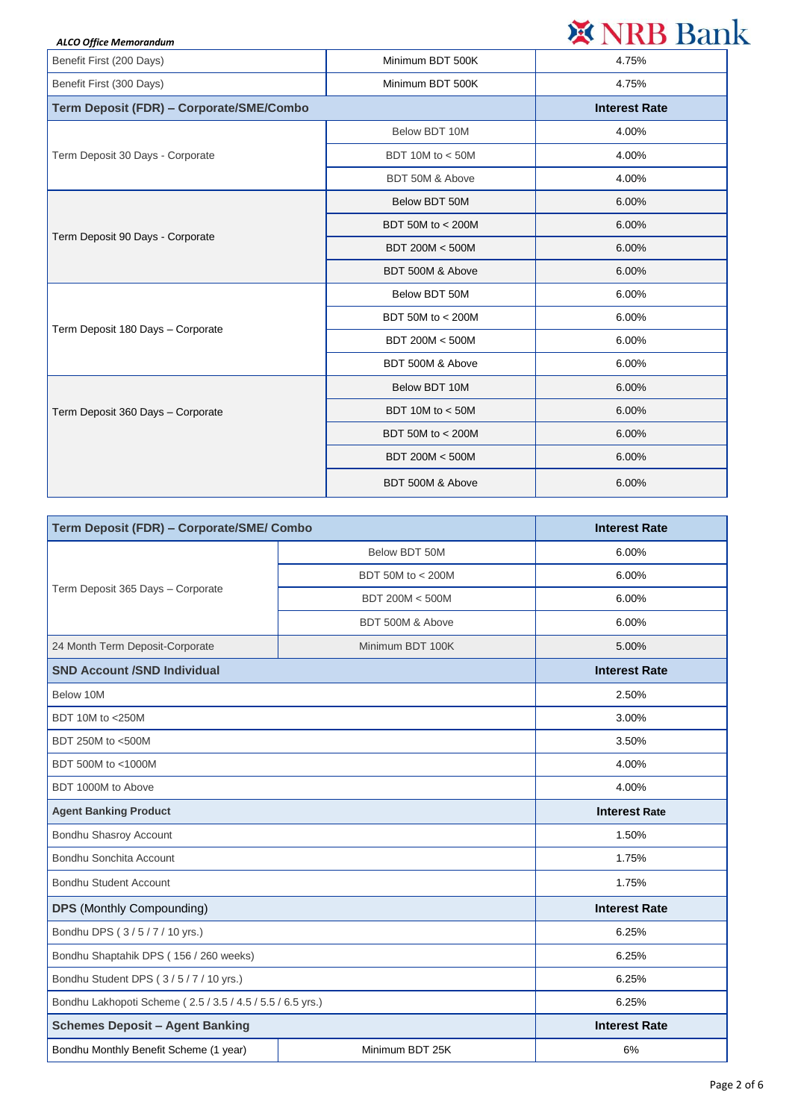| <b>ALCO Office Memorandum</b>            |                      | ※ NRB Bank |
|------------------------------------------|----------------------|------------|
| Benefit First (200 Days)                 | Minimum BDT 500K     | 4.75%      |
| Benefit First (300 Days)                 | Minimum BDT 500K     | 4.75%      |
| Term Deposit (FDR) - Corporate/SME/Combo | <b>Interest Rate</b> |            |
| Term Deposit 30 Days - Corporate         | Below BDT 10M        | 4.00%      |
|                                          | BDT 10M to $<$ 50M   | 4.00%      |
|                                          | BDT 50M & Above      | 4.00%      |
| Term Deposit 90 Days - Corporate         | Below BDT 50M        | 6.00%      |
|                                          | BDT 50M to < 200M    | 6.00%      |
|                                          | BDT 200M < 500M      | 6.00%      |
|                                          | BDT 500M & Above     | 6.00%      |
| Term Deposit 180 Days - Corporate        | Below BDT 50M        | 6.00%      |
|                                          | BDT 50M to < 200M    | 6.00%      |
|                                          | BDT 200M < 500M      | 6.00%      |
|                                          | BDT 500M & Above     | 6.00%      |
| Term Deposit 360 Days - Corporate        | Below BDT 10M        | 6.00%      |
|                                          | BDT 10M to $<$ 50M   | 6.00%      |
|                                          | BDT 50M to $<$ 200M  | 6.00%      |
|                                          | BDT 200M < 500M      | 6.00%      |
|                                          | BDT 500M & Above     | 6.00%      |

| Term Deposit (FDR) - Corporate/SME/ Combo                  |                   | <b>Interest Rate</b> |
|------------------------------------------------------------|-------------------|----------------------|
| Term Deposit 365 Days - Corporate                          | Below BDT 50M     | 6.00%                |
|                                                            | BDT 50M to < 200M | 6.00%                |
|                                                            | BDT 200M < 500M   | 6.00%                |
|                                                            | BDT 500M & Above  | 6.00%                |
| 24 Month Term Deposit-Corporate                            | Minimum BDT 100K  | 5.00%                |
| <b>SND Account /SND Individual</b>                         |                   | <b>Interest Rate</b> |
| Below 10M                                                  |                   | 2.50%                |
| BDT 10M to <250M                                           |                   | 3.00%                |
| BDT 250M to <500M                                          |                   | 3.50%                |
| BDT 500M to <1000M                                         |                   | 4.00%                |
| BDT 1000M to Above                                         |                   | 4.00%                |
| <b>Agent Banking Product</b>                               |                   | <b>Interest Rate</b> |
| Bondhu Shasroy Account                                     |                   | 1.50%                |
| Bondhu Sonchita Account                                    |                   | 1.75%                |
| <b>Bondhu Student Account</b>                              |                   | 1.75%                |
| <b>DPS</b> (Monthly Compounding)                           |                   | <b>Interest Rate</b> |
| Bondhu DPS (3/5/7/10 yrs.)                                 |                   | 6.25%                |
| Bondhu Shaptahik DPS (156 / 260 weeks)                     |                   | 6.25%                |
| Bondhu Student DPS (3/5/7/10 yrs.)                         |                   | 6.25%                |
| Bondhu Lakhopoti Scheme (2.5 / 3.5 / 4.5 / 5.5 / 6.5 yrs.) |                   | 6.25%                |
| <b>Schemes Deposit - Agent Banking</b>                     |                   | <b>Interest Rate</b> |
| Bondhu Monthly Benefit Scheme (1 year)                     | Minimum BDT 25K   | 6%                   |